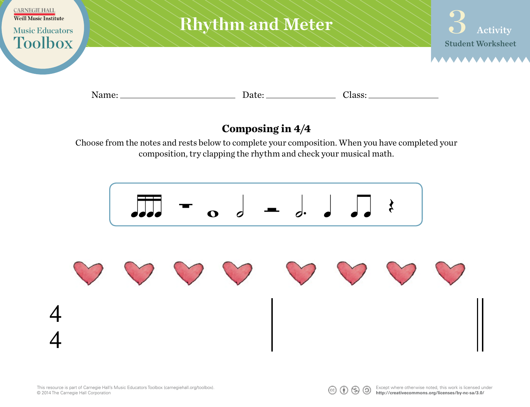

## **Composing in 4/4**

Choose from the notes and rests below to complete your composition. When you have completed your composition, try clapping the rhythm and check your musical math.



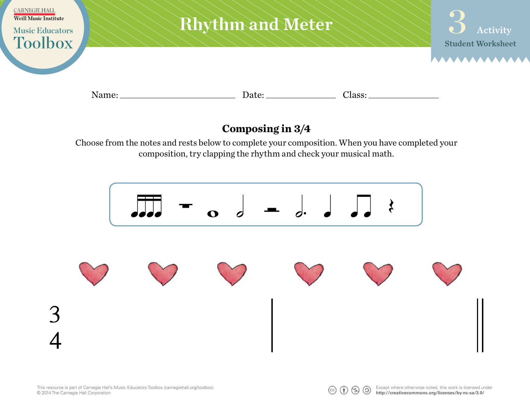

## **Composing in 3/4**

Choose from the notes and rests below to complete your composition. When you have completed your composition, try clapping the rhythm and check your musical math.



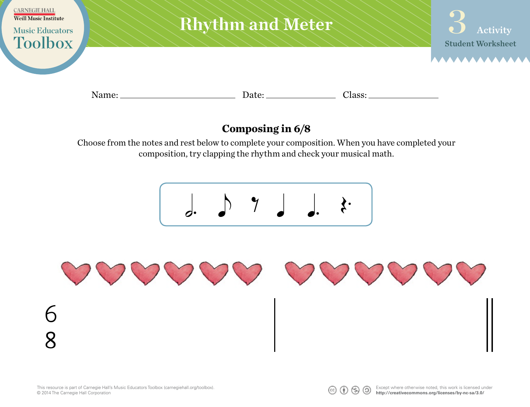

## **Composing in 6/8**

Choose from the notes and rest below to complete your composition. When you have completed your composition, try clapping the rhythm and check your musical math.

$$
\begin{array}{c}\n\bullet \\
\bullet \\
\bullet\n\end{array}
$$